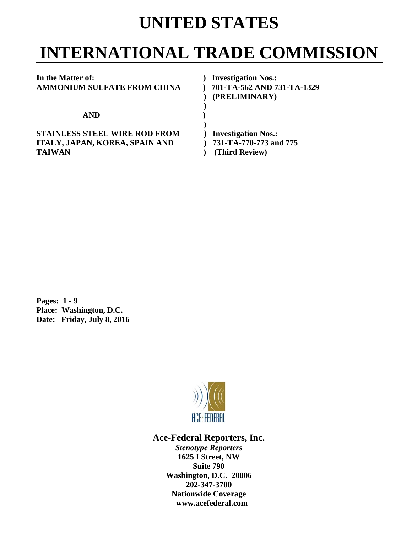## **UNITED STATES**

# **INTERNATIONAL TRADE COMMISSION**

| In the Matter of:                    | <b>Investigation Nos.:</b> |
|--------------------------------------|----------------------------|
| AMMONIUM SULFATE FROM CHINA          | 701-TA-562 AND 731-TA-1329 |
|                                      | (PRELIMINARY)              |
|                                      |                            |
| <b>AND</b>                           |                            |
|                                      |                            |
| <b>STAINLESS STEEL WIRE ROD FROM</b> | <b>Investigation Nos.:</b> |
| ITALY, JAPAN, KOREA, SPAIN AND       | 731-TA-770-773 and 775     |
| <b>TAIWAN</b>                        | (Third Review)             |

**P Pages: 1 - 9** Pages: 1 - 9<br>Place: Washington, D.C. **Date: Friday, July 8, 2016** 



### Ace-Federal Reporters, Inc.

**Stenotype Reporters 1625 I Street, NW Washington, D.C. 20006 20 02-347-3700** 202-347-3700<br>Nationwide Coverage **www w.acefederal l.com Suite 790**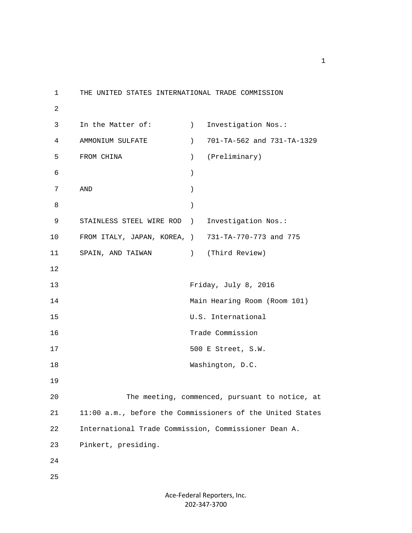1 THE UNITED STATES INTERNATIONAL TRADE COMMISSION 2 3 In the Matter of: (a) Investigation Nos.: 4 AMMONIUM SULFATE ) 701-TA-562 and 731-TA-1329 5 FROM CHINA ) (Preliminary)  $\sim$  6 ) 7 AND )  $8$  ) 9 STAINLESS STEEL WIRE ROD ) Investigation Nos.: 10 FROM ITALY, JAPAN, KOREA, ) 731-TA-770-773 and 775 11 SPAIN, AND TAIWAN ) (Third Review) 12 13 Friday, July 8, 2016 14 Main Hearing Room (Room 101) 15 U.S. International 16 Trade Commission 17 500 E Street, S.W. 18 Washington, D.C. 19 20 The meeting, commenced, pursuant to notice, at 21 11:00 a.m., before the Commissioners of the United States 22 International Trade Commission, Commissioner Dean A. 23 Pinkert, presiding. 24 25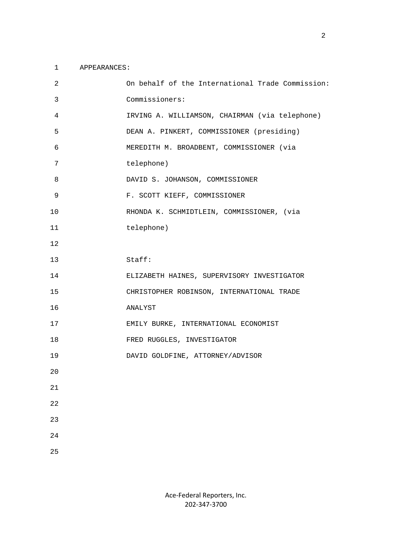#### 1 APPEARANCES:

| 2      | On behalf of the International Trade Commission: |
|--------|--------------------------------------------------|
| 3      | Commissioners:                                   |
| 4      | IRVING A. WILLIAMSON, CHAIRMAN (via telephone)   |
| 5      | DEAN A. PINKERT, COMMISSIONER (presiding)        |
| 6      | MEREDITH M. BROADBENT, COMMISSIONER (via         |
| 7      | telephone)                                       |
| 8      | DAVID S. JOHANSON, COMMISSIONER                  |
| 9      | F. SCOTT KIEFF, COMMISSIONER                     |
| 10     | RHONDA K. SCHMIDTLEIN, COMMISSIONER, (via        |
| 11     | telephone)                                       |
| 12     |                                                  |
| 13     | Stat:                                            |
| 14     | ELIZABETH HAINES, SUPERVISORY INVESTIGATOR       |
| 15     | CHRISTOPHER ROBINSON, INTERNATIONAL TRADE        |
| 16     | ANALYST                                          |
| 17     | EMILY BURKE, INTERNATIONAL ECONOMIST             |
| 18     | FRED RUGGLES, INVESTIGATOR                       |
| 19     | DAVID GOLDFINE, ATTORNEY/ADVISOR                 |
| 20     |                                                  |
| $21\,$ |                                                  |
| 22     |                                                  |
| 23     |                                                  |
| 24     |                                                  |
| 25     |                                                  |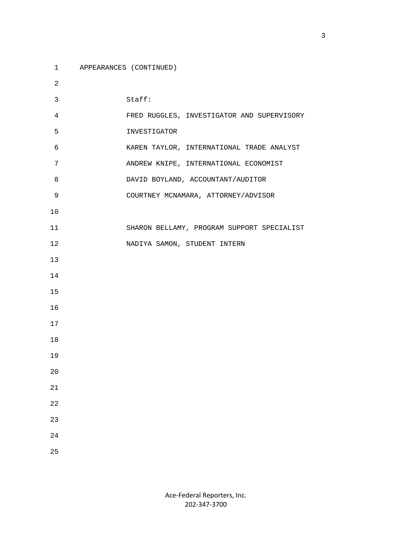- 1 APPEARANCES (CONTINUED)
- 2 3 Staff: 4 FRED RUGGLES, INVESTIGATOR AND SUPERVISORY 5 INVESTIGATOR 6 KAREN TAYLOR, INTERNATIONAL TRADE ANALYST 7 ANDREW KNIPE, INTERNATIONAL ECONOMIST 8 DAVID BOYLAND, ACCOUNTANT/AUDITOR 9 COURTNEY MCNAMARA, ATTORNEY/ADVISOR 10 11 SHARON BELLAMY, PROGRAM SUPPORT SPECIALIST 12 NADIYA SAMON, STUDENT INTERN 13 14 15 16 17 18 19 20 21 22 23 24 25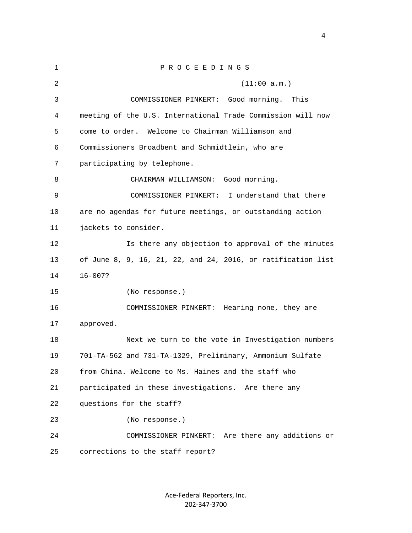| $\mathbf{1}$ | PROCEEDINGS                                                  |
|--------------|--------------------------------------------------------------|
| 2            | (11:00 a.m.)                                                 |
| 3            | COMMISSIONER PINKERT:<br>Good morning.<br>This               |
| 4            | meeting of the U.S. International Trade Commission will now  |
| 5            | come to order. Welcome to Chairman Williamson and            |
| 6            | Commissioners Broadbent and Schmidtlein, who are             |
| 7            | participating by telephone.                                  |
| 8            | CHAIRMAN WILLIAMSON: Good morning.                           |
| 9            | I understand that there<br>COMMISSIONER PINKERT:             |
| 10           | are no agendas for future meetings, or outstanding action    |
| 11           | jackets to consider.                                         |
| 12           | Is there any objection to approval of the minutes            |
| 13           | of June 8, 9, 16, 21, 22, and 24, 2016, or ratification list |
| 14           | $16 - 007?$                                                  |
| 15           | (No response.)                                               |
| 16           | COMMISSIONER PINKERT: Hearing none, they are                 |
| 17           | approved.                                                    |
| 18           | Next we turn to the vote in Investigation numbers            |
| 19           | 701-TA-562 and 731-TA-1329, Preliminary, Ammonium Sulfate    |
| 20           | from China. Welcome to Ms. Haines and the staff who          |
| 21           | participated in these investigations. Are there any          |
| 22           | questions for the staff?                                     |
| 23           | (No response.)                                               |
| 24           | COMMISSIONER PINKERT: Are there any additions or             |
| 25           | corrections to the staff report?                             |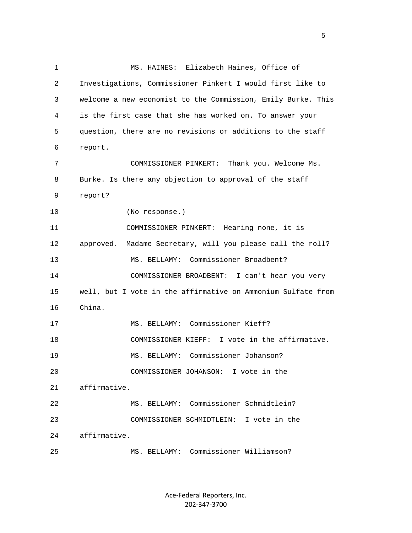1 MS. HAINES: Elizabeth Haines, Office of 2 Investigations, Commissioner Pinkert I would first like to 3 welcome a new economist to the Commission, Emily Burke. This 4 is the first case that she has worked on. To answer your 5 question, there are no revisions or additions to the staff 6 report. 7 COMMISSIONER PINKERT: Thank you. Welcome Ms. 8 Burke. Is there any objection to approval of the staff 9 report? 10 (No response.) 11 COMMISSIONER PINKERT: Hearing none, it is 12 approved. Madame Secretary, will you please call the roll? 13 MS. BELLAMY: Commissioner Broadbent? 14 COMMISSIONER BROADBENT: I can't hear you very 15 well, but I vote in the affirmative on Ammonium Sulfate from 16 China. 17 MS. BELLAMY: Commissioner Kieff? 18 COMMISSIONER KIEFF: I vote in the affirmative. 19 MS. BELLAMY: Commissioner Johanson? 20 COMMISSIONER JOHANSON: I vote in the 21 affirmative. 22 MS. BELLAMY: Commissioner Schmidtlein? 23 COMMISSIONER SCHMIDTLEIN: I vote in the 24 affirmative. 25 MS. BELLAMY: Commissioner Williamson?

> Ace‐Federal Reporters, Inc. 202‐347‐3700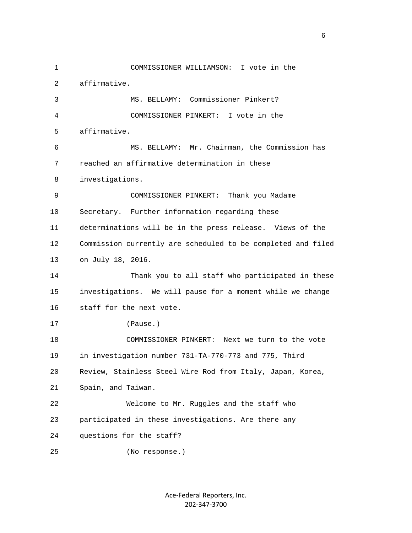1 COMMISSIONER WILLIAMSON: I vote in the 2 affirmative. 3 MS. BELLAMY: Commissioner Pinkert? 4 COMMISSIONER PINKERT: I vote in the 5 affirmative. 6 MS. BELLAMY: Mr. Chairman, the Commission has 7 reached an affirmative determination in these 8 investigations. 9 COMMISSIONER PINKERT: Thank you Madame 10 Secretary. Further information regarding these 11 determinations will be in the press release. Views of the 12 Commission currently are scheduled to be completed and filed 13 on July 18, 2016. 14 Thank you to all staff who participated in these 15 investigations. We will pause for a moment while we change 16 staff for the next vote. 17 (Pause.) 18 COMMISSIONER PINKERT: Next we turn to the vote 19 in investigation number 731-TA-770-773 and 775, Third 20 Review, Stainless Steel Wire Rod from Italy, Japan, Korea, 21 Spain, and Taiwan. 22 Welcome to Mr. Ruggles and the staff who 23 participated in these investigations. Are there any 24 questions for the staff? 25 (No response.)

> Ace‐Federal Reporters, Inc. 202‐347‐3700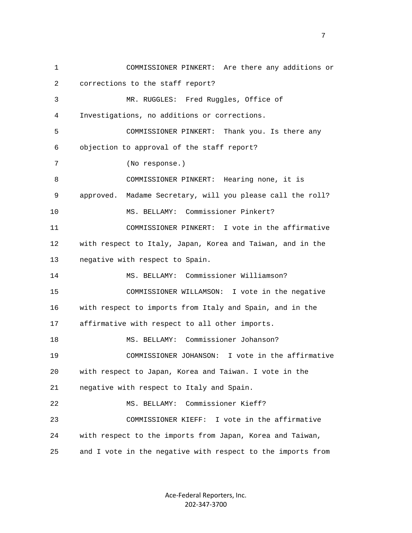1 COMMISSIONER PINKERT: Are there any additions or 2 corrections to the staff report? 3 MR. RUGGLES: Fred Ruggles, Office of 4 Investigations, no additions or corrections. 5 COMMISSIONER PINKERT: Thank you. Is there any 6 objection to approval of the staff report? 7 (No response.) 8 COMMISSIONER PINKERT: Hearing none, it is 9 approved. Madame Secretary, will you please call the roll? 10 MS. BELLAMY: Commissioner Pinkert? 11 COMMISSIONER PINKERT: I vote in the affirmative 12 with respect to Italy, Japan, Korea and Taiwan, and in the 13 negative with respect to Spain. 14 MS. BELLAMY: Commissioner Williamson? 15 COMMISSIONER WILLAMSON: I vote in the negative 16 with respect to imports from Italy and Spain, and in the 17 affirmative with respect to all other imports. 18 MS. BELLAMY: Commissioner Johanson? 19 COMMISSIONER JOHANSON: I vote in the affirmative 20 with respect to Japan, Korea and Taiwan. I vote in the 21 negative with respect to Italy and Spain. 22 MS. BELLAMY: Commissioner Kieff? 23 COMMISSIONER KIEFF: I vote in the affirmative 24 with respect to the imports from Japan, Korea and Taiwan, 25 and I vote in the negative with respect to the imports from

> Ace‐Federal Reporters, Inc. 202‐347‐3700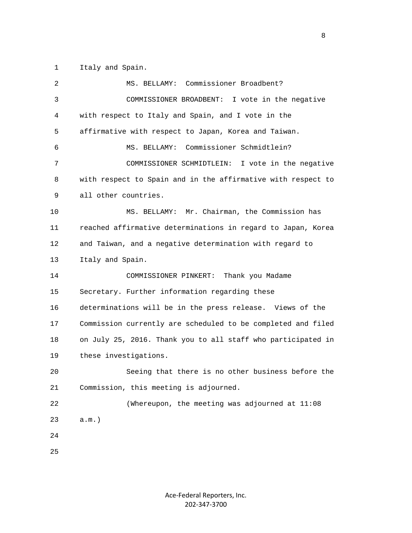1 Italy and Spain.

| 2  | Commissioner Broadbent?<br>MS. BELLAMY:                      |
|----|--------------------------------------------------------------|
| 3  | COMMISSIONER BROADBENT:<br>I vote in the negative            |
| 4  | with respect to Italy and Spain, and I vote in the           |
| 5  | affirmative with respect to Japan, Korea and Taiwan.         |
| 6  | Commissioner Schmidtlein?<br>MS. BELLAMY:                    |
| 7  | COMMISSIONER SCHMIDTLEIN: I vote in the negative             |
| 8  | with respect to Spain and in the affirmative with respect to |
| 9  | all other countries.                                         |
| 10 | Mr. Chairman, the Commission has<br>MS. BELLAMY:             |
| 11 | reached affirmative determinations in regard to Japan, Korea |
| 12 | and Taiwan, and a negative determination with regard to      |
| 13 | Italy and Spain.                                             |
| 14 | COMMISSIONER PINKERT:<br>Thank you Madame                    |
| 15 | Secretary. Further information regarding these               |
| 16 | determinations will be in the press release. Views of the    |
| 17 | Commission currently are scheduled to be completed and filed |
| 18 | on July 25, 2016. Thank you to all staff who participated in |
| 19 | these investigations.                                        |
| 20 | Seeing that there is no other business before the            |
| 21 | Commission, this meeting is adjourned.                       |
| 22 | (Whereupon, the meeting was adjourned at 11:08               |
| 23 | $a.m.$ )                                                     |
| 24 |                                                              |
| 25 |                                                              |
|    |                                                              |

experience of the state of the state of the state of the state of the state of the state of the state of the s